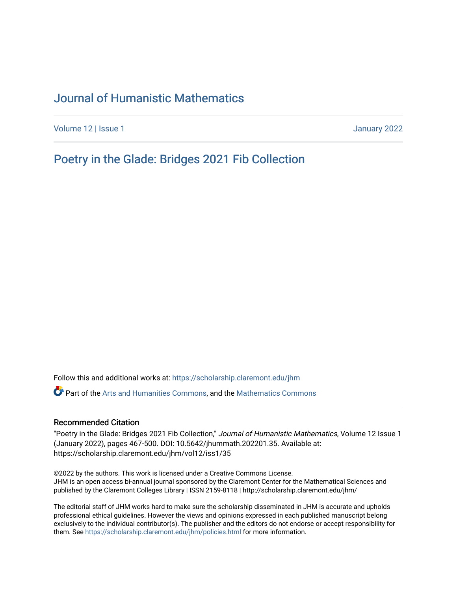# [Journal of Humanistic Mathematics](https://scholarship.claremont.edu/jhm)

[Volume 12](https://scholarship.claremont.edu/jhm/vol12) | Issue 1 January 2022

[Poetry in the Glade: Bridges 2021 Fib Collection](https://scholarship.claremont.edu/jhm/vol12/iss1/35) 

Follow this and additional works at: [https://scholarship.claremont.edu/jhm](https://scholarship.claremont.edu/jhm?utm_source=scholarship.claremont.edu%2Fjhm%2Fvol12%2Fiss1%2F35&utm_medium=PDF&utm_campaign=PDFCoverPages)

Part of the [Arts and Humanities Commons,](http://network.bepress.com/hgg/discipline/438?utm_source=scholarship.claremont.edu%2Fjhm%2Fvol12%2Fiss1%2F35&utm_medium=PDF&utm_campaign=PDFCoverPages) and the [Mathematics Commons](http://network.bepress.com/hgg/discipline/174?utm_source=scholarship.claremont.edu%2Fjhm%2Fvol12%2Fiss1%2F35&utm_medium=PDF&utm_campaign=PDFCoverPages) 

#### Recommended Citation

"Poetry in the Glade: Bridges 2021 Fib Collection," Journal of Humanistic Mathematics, Volume 12 Issue 1 (January 2022), pages 467-500. DOI: 10.5642/jhummath.202201.35. Available at: https://scholarship.claremont.edu/jhm/vol12/iss1/35

©2022 by the authors. This work is licensed under a Creative Commons License. JHM is an open access bi-annual journal sponsored by the Claremont Center for the Mathematical Sciences and published by the Claremont Colleges Library | ISSN 2159-8118 | http://scholarship.claremont.edu/jhm/

The editorial staff of JHM works hard to make sure the scholarship disseminated in JHM is accurate and upholds professional ethical guidelines. However the views and opinions expressed in each published manuscript belong exclusively to the individual contributor(s). The publisher and the editors do not endorse or accept responsibility for them. See<https://scholarship.claremont.edu/jhm/policies.html> for more information.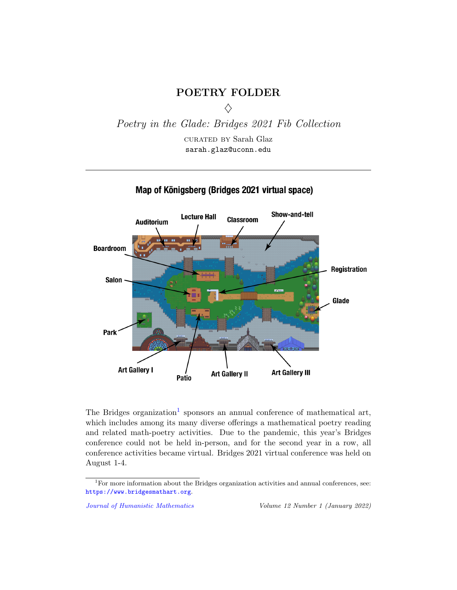# POETRY FOLDER  $\Diamond$

<span id="page-1-0"></span>Poetry in the Glade: Bridges 2021 Fib Collection

curated by Sarah Glaz sarah.glaz@uconn.edu



# Map of Königsberg (Bridges 2021 virtual space)

The Bridges organization<sup>1</sup> sponsors an annual conference of mathematical art, which includes among its many diverse offerings a mathematical poetry reading and related math-poetry activities. Due to the pandemic, this year's Bridges conference could not be held in-person, and for the second year in a row, all conference activities became virtual. Bridges 2021 virtual conference was held on August 1-4.

<sup>&</sup>lt;sup>1</sup>For more information about the Bridges organization activities and annual conferences, see: <https://www.bridgesmathart.org>.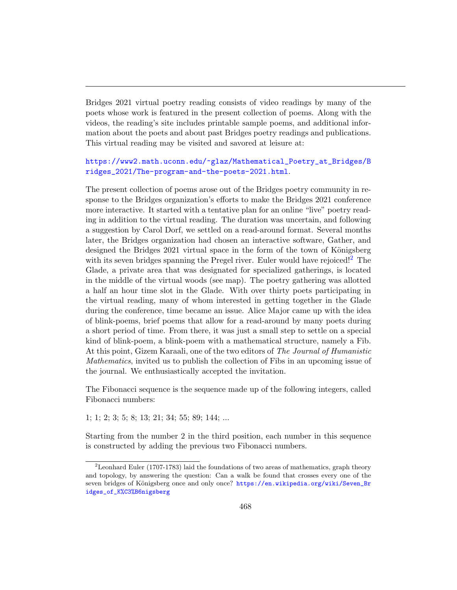Bridges 2021 virtual poetry reading consists of video readings by many of the poets whose work is featured in the present collection of poems. Along with the videos, the reading's site includes printable sample poems, and additional information about the poets and about past Bridges poetry readings and publications. This virtual reading may be visited and savored at leisure at:

#### [https://www2.math.uconn.edu/~glaz/Mathematical\\_Poetry\\_at\\_Bridges/B](https://www2.math.uconn.edu/~glaz/Mathematical_Poetry_at_Bridges/Bridges_2021/The-program-and-the-poets-2021.html) [ridges\\_2021/The-program-and-the-poets-2021.html](https://www2.math.uconn.edu/~glaz/Mathematical_Poetry_at_Bridges/Bridges_2021/The-program-and-the-poets-2021.html).

The present collection of poems arose out of the Bridges poetry community in response to the Bridges organization's efforts to make the Bridges 2021 conference more interactive. It started with a tentative plan for an online "live" poetry reading in addition to the virtual reading. The duration was uncertain, and following a suggestion by Carol Dorf, we settled on a read-around format. Several months later, the Bridges organization had chosen an interactive software, Gather, and designed the Bridges 2021 virtual space in the form of the town of Königsberg with its seven bridges spanning the Pregel river. Euler would have rejoiced!<sup>[2](#page-1-0)</sup> The Glade, a private area that was designated for specialized gatherings, is located in the middle of the virtual woods (see map). The poetry gathering was allotted a half an hour time slot in the Glade. With over thirty poets participating in the virtual reading, many of whom interested in getting together in the Glade during the conference, time became an issue. Alice Major came up with the idea of blink-poems, brief poems that allow for a read-around by many poets during a short period of time. From there, it was just a small step to settle on a special kind of blink-poem, a blink-poem with a mathematical structure, namely a Fib. At this point, Gizem Karaali, one of the two editors of The Journal of Humanistic Mathematics, invited us to publish the collection of Fibs in an upcoming issue of the journal. We enthusiastically accepted the invitation.

The Fibonacci sequence is the sequence made up of the following integers, called Fibonacci numbers:

1; 1; 2; 3; 5; 8; 13; 21; 34; 55; 89; 144; ...

Starting from the number 2 in the third position, each number in this sequence is constructed by adding the previous two Fibonacci numbers.

<sup>2</sup>Leonhard Euler (1707-1783) laid the foundations of two areas of mathematics, graph theory and topology, by answering the question: Can a walk be found that crosses every one of the seven bridges of Königsberg once and only once? [https://en.wikipedia.org/wiki/Seven\\_Br](https://en.wikipedia.org/wiki/Seven_Bridges_of_K%C3%B6nigsberg) [idges\\_of\\_K%C3%B6nigsberg](https://en.wikipedia.org/wiki/Seven_Bridges_of_K%C3%B6nigsberg)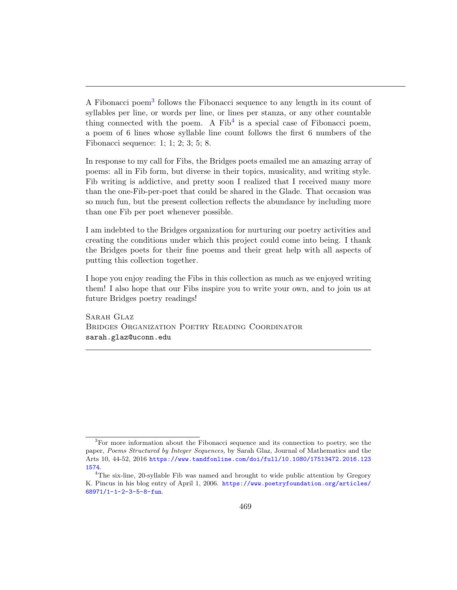A Fibonacci poem<sup>[3](#page-1-0)</sup> follows the Fibonacci sequence to any length in its count of syllables per line, or words per line, or lines per stanza, or any other countable thing connected with the poem. A  $Fib<sup>4</sup>$  $Fib<sup>4</sup>$  $Fib<sup>4</sup>$  is a special case of Fibonacci poem, a poem of 6 lines whose syllable line count follows the first 6 numbers of the Fibonacci sequence: 1; 1; 2; 3; 5; 8.

In response to my call for Fibs, the Bridges poets emailed me an amazing array of poems: all in Fib form, but diverse in their topics, musicality, and writing style. Fib writing is addictive, and pretty soon I realized that I received many more than the one-Fib-per-poet that could be shared in the Glade. That occasion was so much fun, but the present collection reflects the abundance by including more than one Fib per poet whenever possible.

I am indebted to the Bridges organization for nurturing our poetry activities and creating the conditions under which this project could come into being. I thank the Bridges poets for their fine poems and their great help with all aspects of putting this collection together.

I hope you enjoy reading the Fibs in this collection as much as we enjoyed writing them! I also hope that our Fibs inspire you to write your own, and to join us at future Bridges poetry readings!

Sarah Glaz Bridges Organization Poetry Reading Coordinator sarah.glaz@uconn.edu

<sup>3</sup>For more information about the Fibonacci sequence and its connection to poetry, see the paper, Poems Structured by Integer Sequences, by Sarah Glaz, Journal of Mathematics and the Arts 10, 44-52, 2016 [https://www.tandfonline.com/doi/full/10.1080/17513472.2016.123](https://www.tandfonline.com/doi/full/10.1080/17513472.2016.1231574) [1574](https://www.tandfonline.com/doi/full/10.1080/17513472.2016.1231574).

<sup>&</sup>lt;sup>4</sup>The six-line, 20-syllable Fib was named and brought to wide public attention by Gregory K. Pincus in his blog entry of April 1, 2006. [https://www.poetryfoundation.org/articles/](https://www.poetryfoundation.org/articles/68971/1-1-2-3-5-8-fun) [68971/1-1-2-3-5-8-fun](https://www.poetryfoundation.org/articles/68971/1-1-2-3-5-8-fun).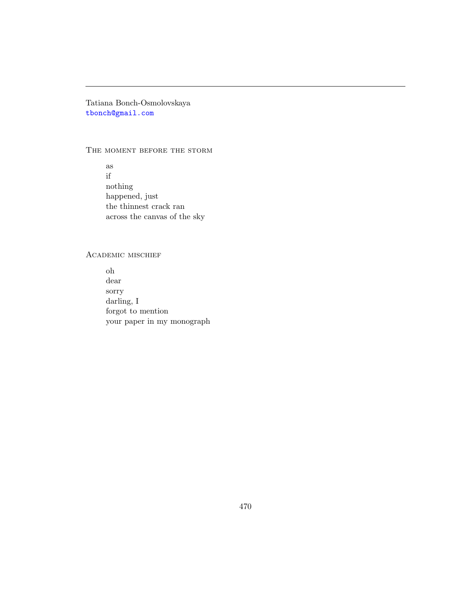Tatiana Bonch-Osmolovskaya [tbonch@gmail.com](mailto:tbonch@gmail.com)

#### THE MOMENT BEFORE THE STORM

as if nothing happened, just the thinnest crack ran across the canvas of the sky

## Academic mischief

oh dear sorry darling, I forgot to mention your paper in my monograph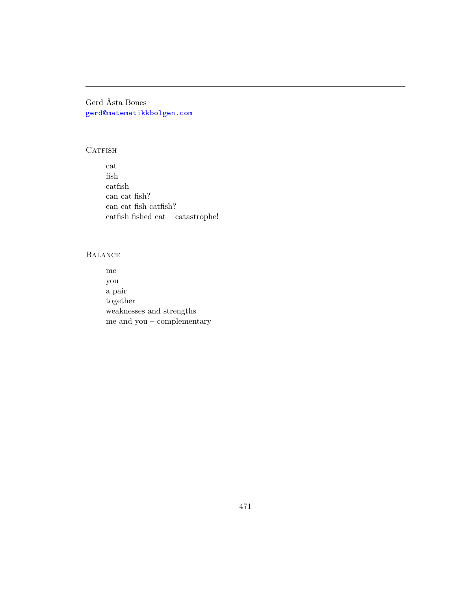Gerd Åsta Bones [gerd@matematikkbolgen.com](mailto:gerd@matematikkbolgen.com)

# CATFISH

cat fish catfish can cat fish? can cat fish catfish? catfish fished cat – catastrophe!  $\,$ 

# **BALANCE**

me you a pair together weaknesses and strengths me and you –  $\it{complementary}$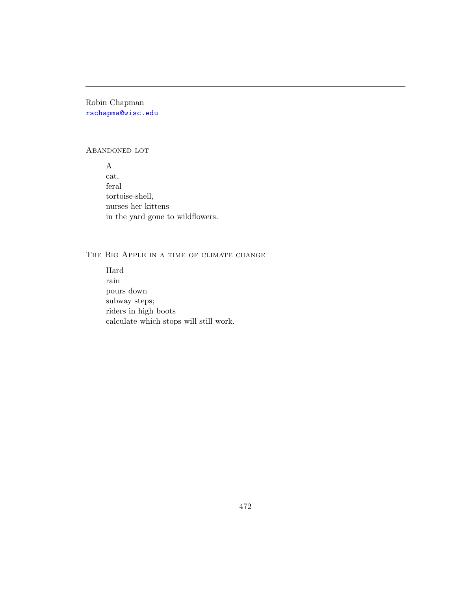Robin Chapman [rschapma@wisc.edu](mailto:rschapma@wisc.edu)

#### Abandoned lot

A cat, feral tortoise-shell, nurses her kittens in the yard gone to wildflowers.

# THE BIG APPLE IN A TIME OF CLIMATE CHANGE

Hard rain pours down subway steps; riders in high boots calculate which stops will still work.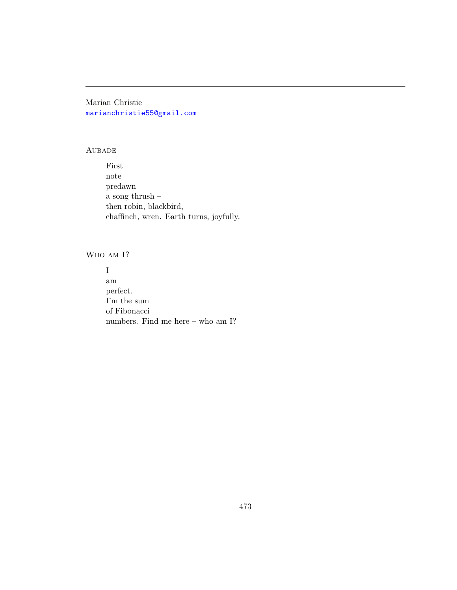Marian Christie [marianchristie55@gmail.com](mailto:marianchristie55@gmail.com)

#### **AUBADE**

First note predawn a song thrush – then robin, blackbird, chaffinch, wren. Earth turns, joyfully.

Who am I?

I am perfect. I'm the sum of Fibonacci numbers. Find me here – who am I?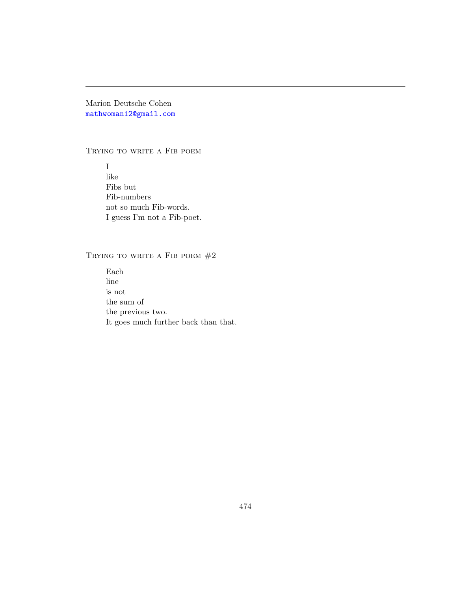Marion Deutsche Cohen [mathwoman12@gmail.com](mailto:mathwoman12@gmail.com)

#### TRYING TO WRITE A FIB POEM

I like Fibs but Fib-numbers not so much Fib-words. I guess I'm not a Fib-poet.

# TRYING TO WRITE A FIB POEM  $#2$

Each line is not the sum of the previous two. It goes much further back than that.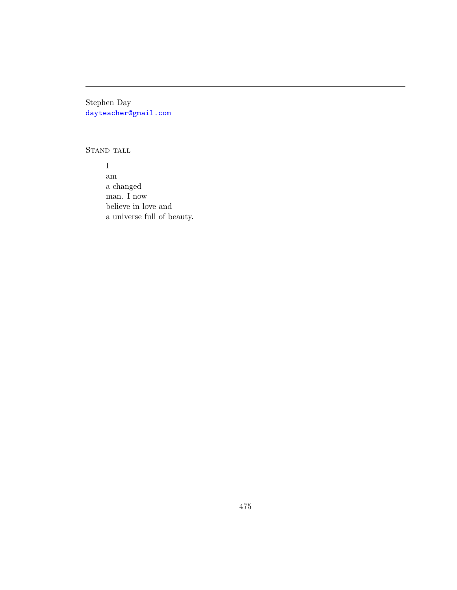Stephen Day [dayteacher@gmail.com](mailto:dayteacher@gmail.com)

STAND TALL

I am a changed man. I now believe in love and a universe full of beauty.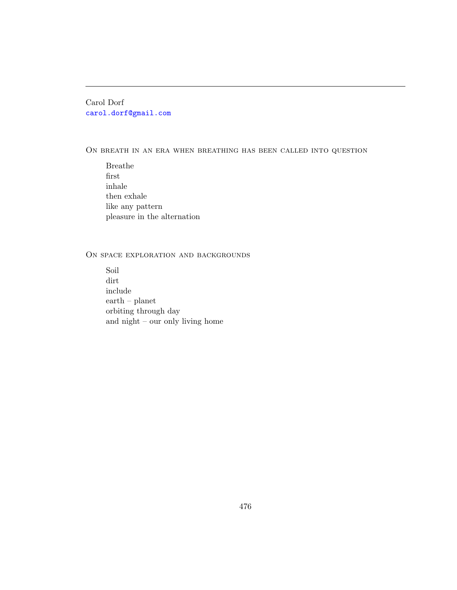Carol Dorf [carol.dorf@gmail.com](mailto:carol.dorf@gmail.com)

ON BREATH IN AN ERA WHEN BREATHING HAS BEEN CALLED INTO QUESTION

Breathe first inhale then exhale like any pattern pleasure in the alternation

# ON SPACE EXPLORATION AND BACKGROUNDS

Soil dirt include earth – planet orbiting through day and night – our only living home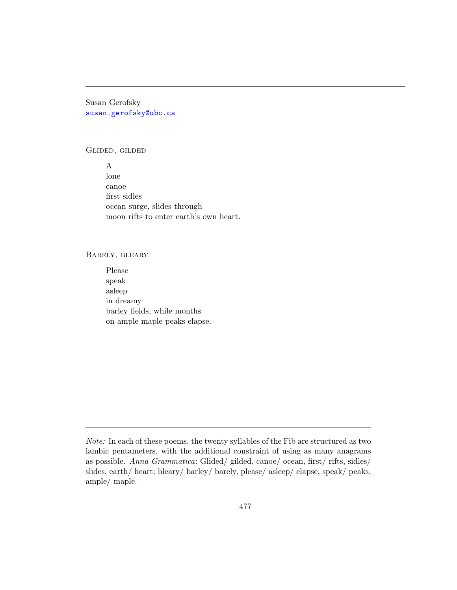Susan Gerofsky [susan.gerofsky@ubc.ca](mailto:susan.gerofsky@ubc.ca)

#### Glided, gilded

A lone canoe first sidles ocean surge, slides through moon rifts to enter earth's own heart.

#### Barely, bleary

Please speak asleep in dreamy barley fields, while months on ample maple peaks elapse.

Note: In each of these poems, the twenty syllables of the Fib are structured as two iambic pentameters, with the additional constraint of using as many anagrams as possible. Anna Grammatica: Glided/ gilded, canoe/ ocean, first/ rifts, sidles/ slides, earth/ heart; bleary/ barley/ barely, please/ asleep/ elapse, speak/ peaks, ample/ maple.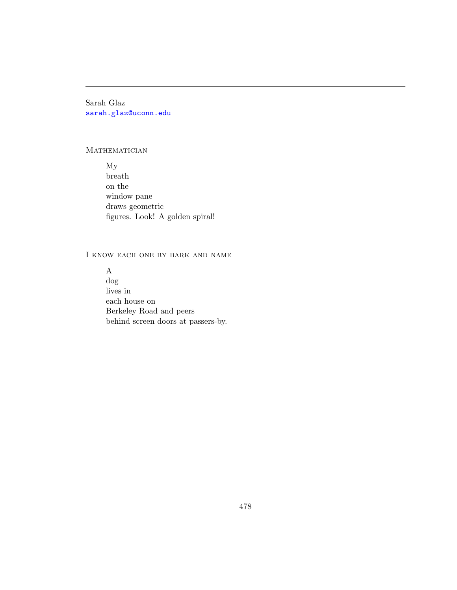Sarah Glaz [sarah.glaz@uconn.edu](mailto:sarah.glaz@uconn.edu)

## **MATHEMATICIAN**

My breath on the window pane draws geometric figures. Look! A golden spiral!

# I know each one by bark and name

A dog lives in each house on Berkeley Road and peers behind screen doors at passers-by.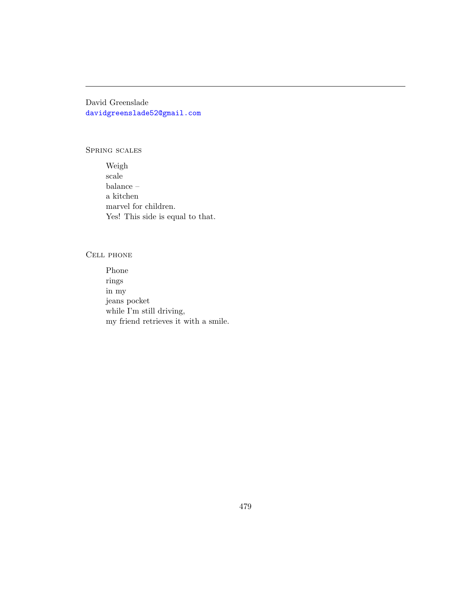David Greenslade [davidgreenslade52@gmail.com](mailto:davidgreenslade52@gmail.com)

#### Spring scales

Weigh scale balance – a kitchen marvel for children. Yes! This side is equal to that.

#### Cell phone

Phone rings in my jeans pocket while I'm still driving, my friend retrieves it with a smile.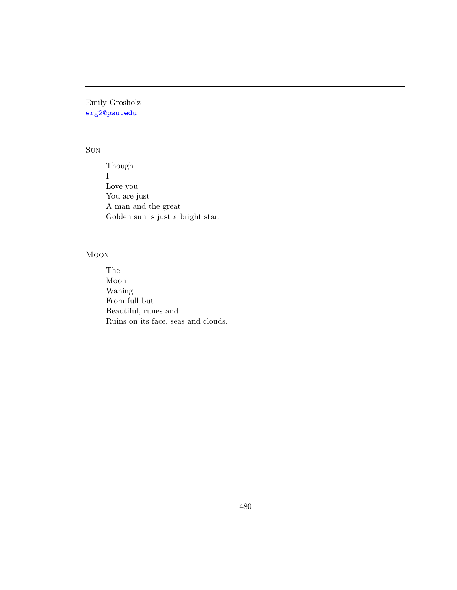Emily Grosholz [erg2@psu.edu](mailto:erg2@psu.edu)

# Sun

Though I Love you You are just A man and the great Golden sun is just a bright star.

# Moon

The Moon Waning From full but Beautiful, runes and Ruins on its face, seas and clouds.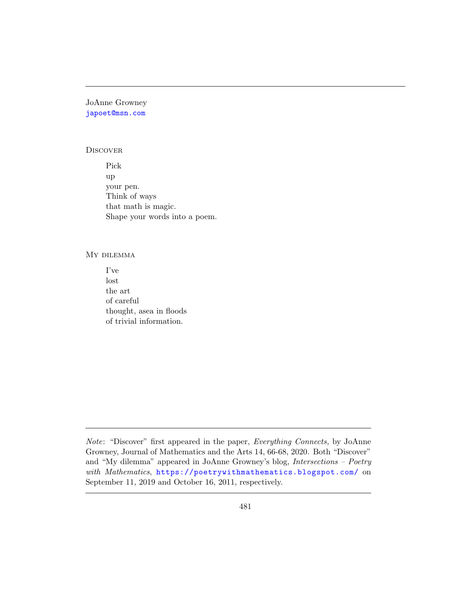JoAnne Growney [japoet@msn.com](mailto:japoet@msn.com)

#### **DISCOVER**

Pick up your pen. Think of ways that math is magic. Shape your words into a poem.

#### My dilemma

I've lost the art of careful thought, asea in floods of trivial information.

Note: "Discover" first appeared in the paper, Everything Connects, by JoAnne Growney, Journal of Mathematics and the Arts 14, 66-68, 2020. Both "Discover" and "My dilemma" appeared in JoAnne Growney's blog, Intersections – Poetry with Mathematics, <https://poetrywithmathematics.blogspot.com/> on September 11, 2019 and October 16, 2011, respectively.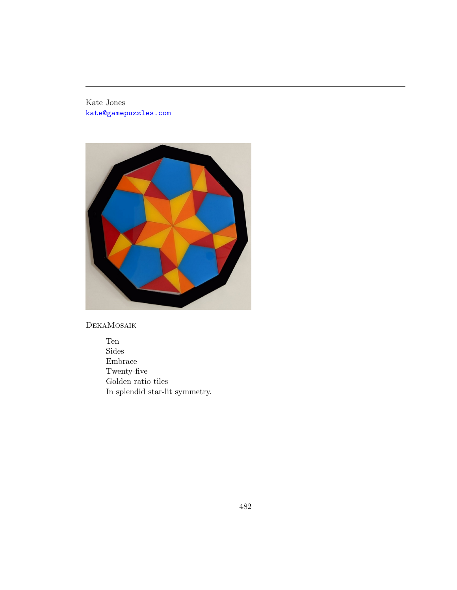Kate Jones [kate@gamepuzzles.com](mailto:kate@gamepuzzles.com)



DekaMosaik

Ten Sides Embrace Twenty-five Golden ratio tiles In splendid star-lit symmetry.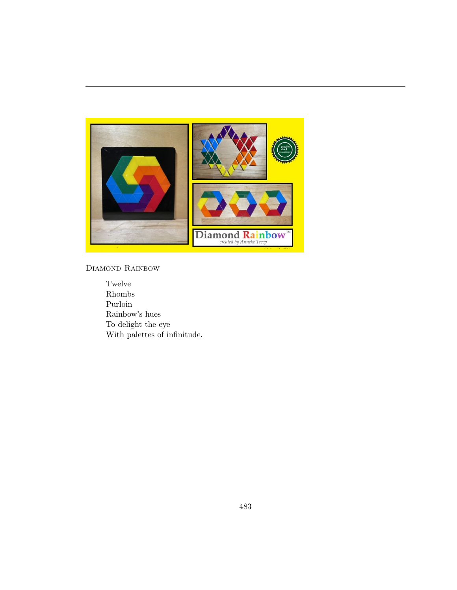

# DIAMOND RAINBOW

Twelve Rhombs Purloin Rainbow's hues To delight the eye With palettes of infinitude.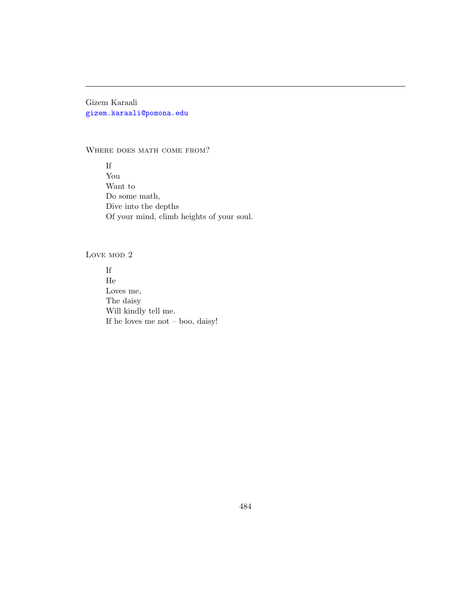Gizem Karaali [gizem.karaali@pomona.edu](mailto:gizem.karaali@pomona.edu)

#### WHERE DOES MATH COME FROM?

If You Want to Do some math, Dive into the depths Of your mind, climb heights of your soul.

# LOVE MOD 2

If He Loves me, The daisy Will kindly tell me. If he loves me not – boo, daisy!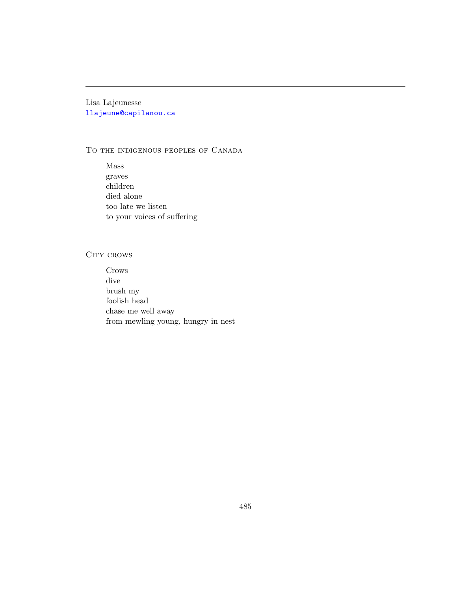Lisa Lajeunesse [llajeune@capilanou.ca](mailto:llajeune@capilanou.ca)

#### To the indigenous peoples of Canada

Mass graves children died alone too late we listen to your voices of suffering

#### CITY CROWS

Crows dive brush my foolish head chase me well away from mewling young, hungry in nest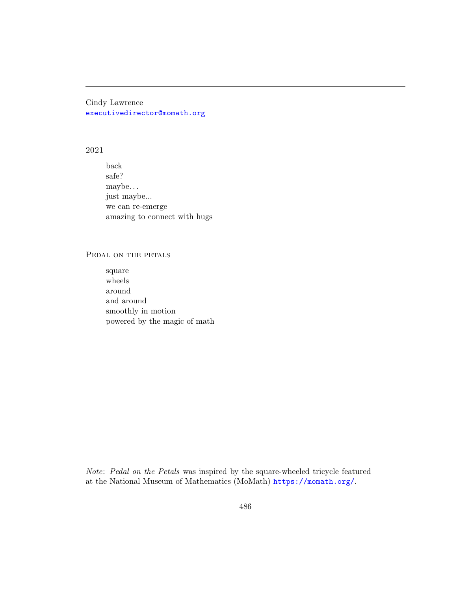Cindy Lawrence [executivedirector@momath.org](mailto:executivedirector@momath.org)

#### 2021

back safe? maybe. . . just maybe... we can re-emerge amazing to connect with hugs

#### PEDAL ON THE PETALS

square wheels around and around smoothly in motion powered by the magic of math

Note: Pedal on the Petals was inspired by the square-wheeled tricycle featured at the National Museum of Mathematics (MoMath) <https://momath.org/>.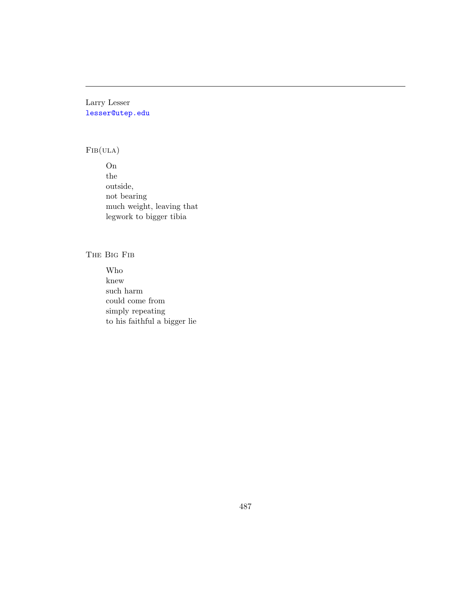Larry Lesser [lesser@utep.edu](mailto:lesser@utep.edu)

# $FIB(ULA)$

On the outside, not bearing much weight, leaving that legwork to bigger tibia

The Big Fib

Who knew such harm could come from simply repeating to his faithful a bigger lie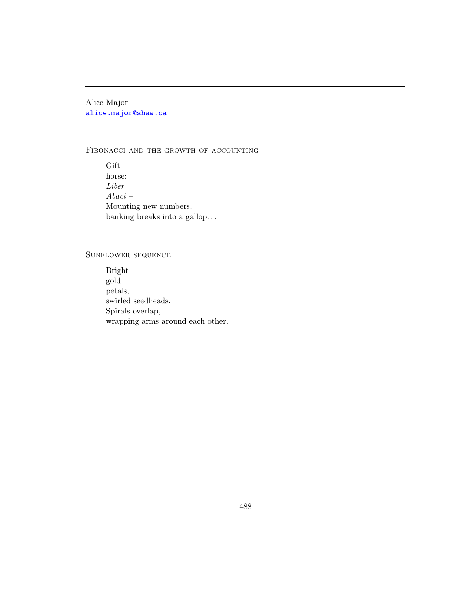Alice Major [alice.major@shaw.ca](mailto:alice.major@shaw.ca)

#### FIBONACCI AND THE GROWTH OF ACCOUNTING

Gift horse: Liber Abaci – Mounting new numbers, banking breaks into a gallop. . .

## Sunflower sequence

Bright gold petals, swirled seedheads. Spirals overlap, wrapping arms around each other.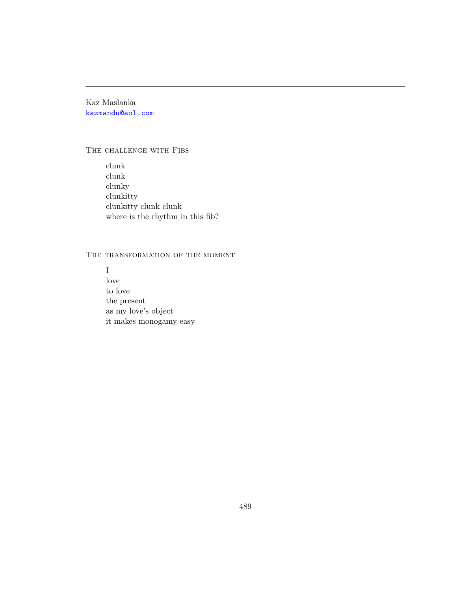Kaz Maslanka [kazmandu@aol.com](mailto:kazmandu@aol.com)

#### THE CHALLENGE WITH FIBS

clunk clunk clunky clunkitty clunkitty clunk clunk where is the rhythm in this fib?

# THE TRANSFORMATION OF THE MOMENT

I love to love the present as my love's object it makes monogamy easy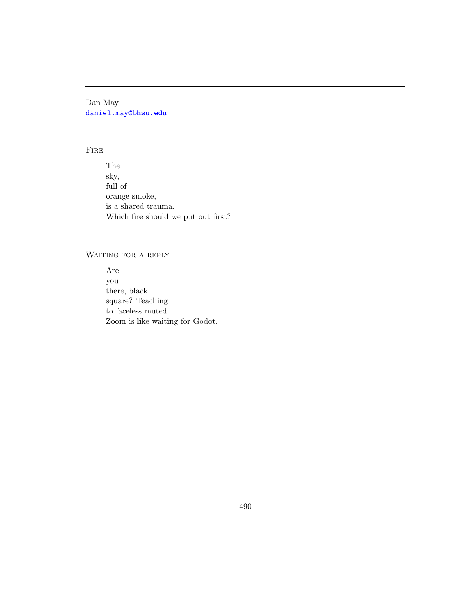Dan May [daniel.may@bhsu.edu](mailto:daniel.may@bhsu.edu)

#### Fire

The sky, full of orange smoke, is a shared trauma. Which fire should we put out first?

# WAITING FOR A REPLY

Are you there, black square? Teaching to faceless muted Zoom is like waiting for Godot.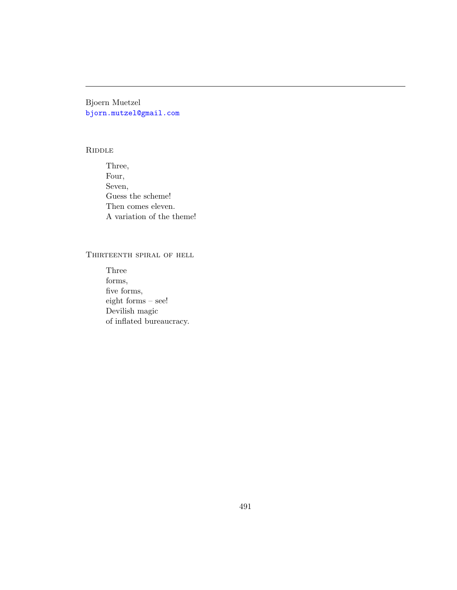Bjoern Muetzel [bjorn.mutzel@gmail.com](mailto:bjorn.mutzel@gmail.com)

#### **RIDDLE**

Three, Four, Seven, Guess the scheme! Then comes eleven. A variation of the theme!

# Thirteenth spiral of hell

Three forms, five forms, eight forms – see! Devilish magic of inflated bureaucracy.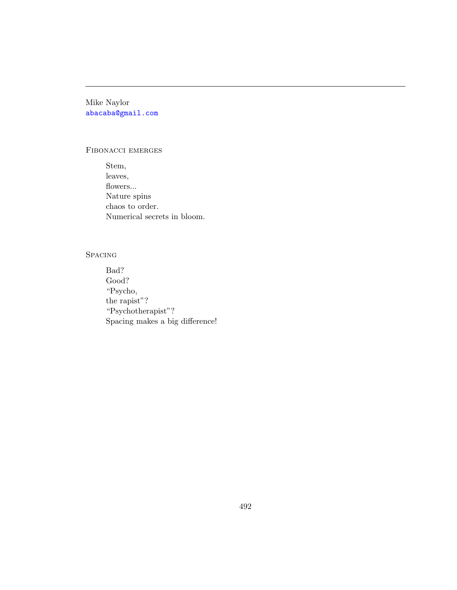Mike Naylor [abacaba@gmail.com](mailto:abacaba@gmail.com)

#### Fibonacci emerges

Stem, leaves, flowers... Nature spins chaos to order. Numerical secrets in bloom.

## **SPACING**

Bad? Good? "Psycho, the rapist"? "Psychotherapist"? Spacing makes a big difference!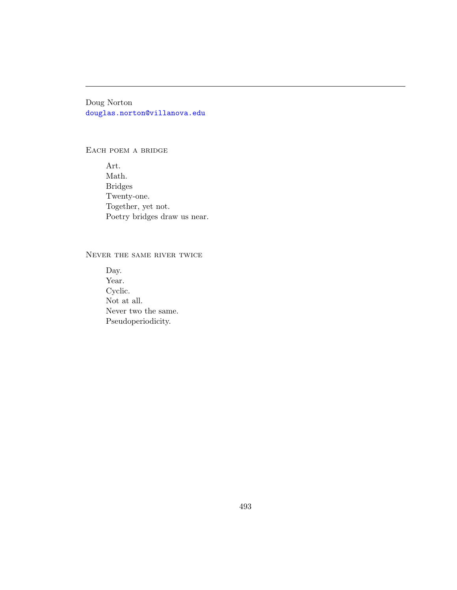Doug Norton [douglas.norton@villanova.edu](mailto:douglas.norton@villanova.edu)

EACH POEM A BRIDGE

Art. Math. Bridges Twenty-one. Together, yet not. Poetry bridges draw us near.

## Never the same river twice

Day. Year. Cyclic. Not at all. Never two the same. Pseudoperiodicity.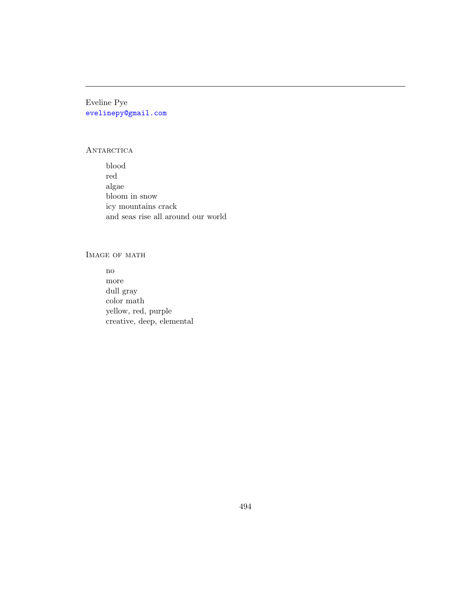Eveline Pye [evelinepy@gmail.com](mailto:evelinepy@gmail.com)

# ANTARCTICA

blood red algae bloom in snow icy mountains crack and seas rise all around our world

# IMAGE OF MATH

no more dull gray color math yellow, red, purple creative, deep, elemental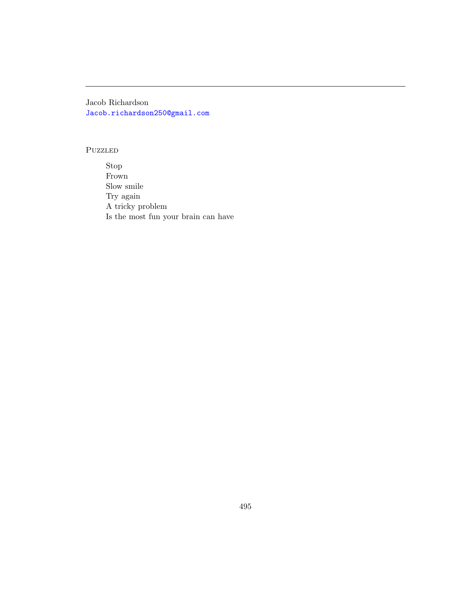Jacob Richardson [Jacob.richardson250@gmail.com](mailto:Jacob.richardson250@gmail.com)

#### Puzzled

Stop Frown Slow smile Try again A tricky problem Is the most fun your brain can have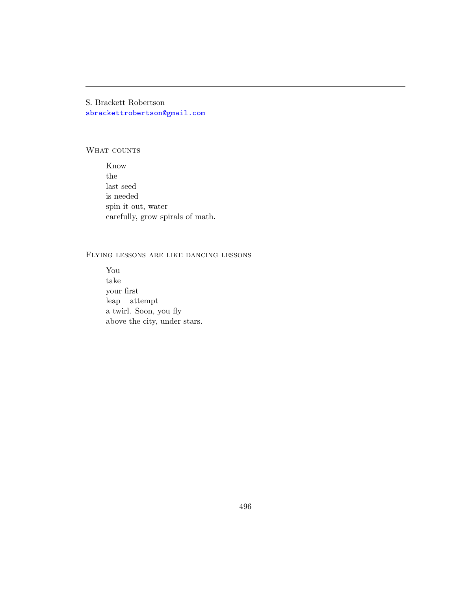S. Brackett Robertson [sbrackettrobertson@gmail.com](mailto:sbrackettrobertson@gmail.com)

#### WHAT COUNTS

Know the last seed is needed spin it out, water carefully, grow spirals of math.

# Flying lessons are like dancing lessons

You take your first leap – attempt a twirl. Soon, you fly above the city, under stars.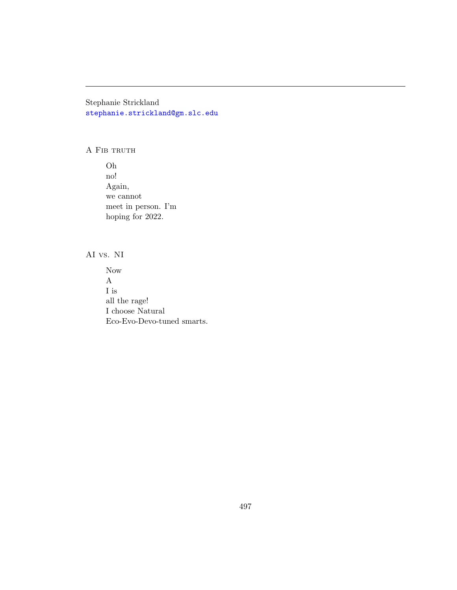Stephanie Strickland [stephanie.strickland@gm.slc.edu](mailto:stephanie.strickland@gm.slc.edu)

A FIB TRUTH

Oh no! Again, we cannot meet in person. I'm hoping for 2022.

AI vs. NI

Now A I is all the rage! I choose Natural Eco-Evo-Devo-tuned smarts.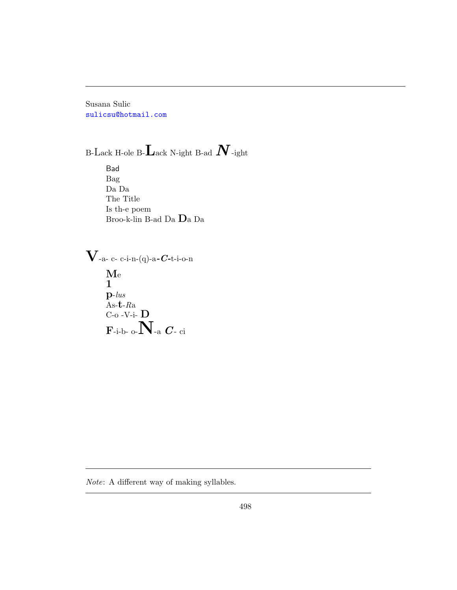Susana Sulic [sulicsu@hotmail.com](mailto:sulicsu@hotmail.com)

B-Lack H-ole B- $\mathbf L$ ack N-ight B-ad  $\boldsymbol N$ -ight

Bad Bag Da Da The Title Is th-e poem Broo-k-lin B-ad Da Da Da

 ${\bf V}$ -a- c- c-i-n-(q)-a- ${\bm C}$ -t-i-o-n Me 1 p-lus  $As-t-Ra$  $C$ -o -V-i-  $D$  $\bar{\mathbf{F}}$ -i-b- o- $\bar{\mathbf{N}}$ -a  $\bm{C}$ - ci

Note: A different way of making syllables.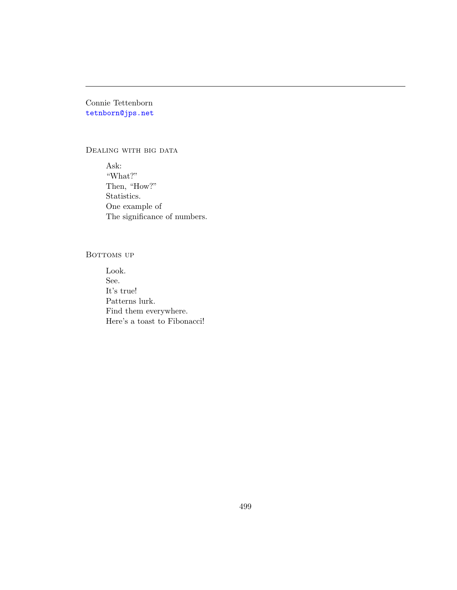# Connie Tettenborn [tetnborn@jps.net](mailto:tetnborn@jps.net)

#### DEALING WITH BIG DATA

Ask: "What?" Then, "How?" Statistics. One example of The significance of numbers.

## BOTTOMS UP

Look. See. It's true! Patterns lurk. Find them everywhere. Here's a toast to Fibonacci!